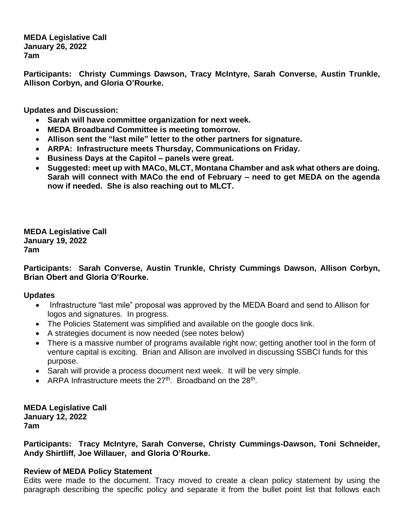**MEDA Legislative Call January 26, 2022 7am**

**Participants: Christy Cummings Dawson, Tracy McIntyre, Sarah Converse, Austin Trunkle, Allison Corbyn, and Gloria O'Rourke.**

**Updates and Discussion:**

- **Sarah will have committee organization for next week.**
- **MEDA Broadband Committee is meeting tomorrow.**
- **Allison sent the "last mile" letter to the other partners for signature.**
- **ARPA: Infrastructure meets Thursday, Communications on Friday.**
- **Business Days at the Capitol – panels were great.**
- **Suggested: meet up with MACo, MLCT, Montana Chamber and ask what others are doing. Sarah will connect with MACo the end of February – need to get MEDA on the agenda now if needed. She is also reaching out to MLCT.**

**MEDA Legislative Call January 19, 2022 7am**

## **Participants: Sarah Converse, Austin Trunkle, Christy Cummings Dawson, Allison Corbyn, Brian Obert and Gloria O'Rourke.**

## **Updates**

- Infrastructure "last mile" proposal was approved by the MEDA Board and send to Allison for logos and signatures. In progress.
- The Policies Statement was simplified and available on the google docs link.
- A strategies document is now needed (see notes below)
- There is a massive number of programs available right now; getting another tool in the form of venture capital is exciting. Brian and Allison are involved in discussing SSBCI funds for this purpose.
- Sarah will provide a process document next week. It will be very simple.
- ARPA Infrastructure meets the  $27<sup>th</sup>$ . Broadband on the  $28<sup>th</sup>$ .

**MEDA Legislative Call January 12, 2022 7am**

**Participants: Tracy McIntyre, Sarah Converse, Christy Cummings-Dawson, Toni Schneider, Andy Shirtliff, Joe Willauer, and Gloria O'Rourke.**

# **Review of MEDA Policy Statement**

Edits were made to the document. Tracy moved to create a clean policy statement by using the paragraph describing the specific policy and separate it from the bullet point list that follows each